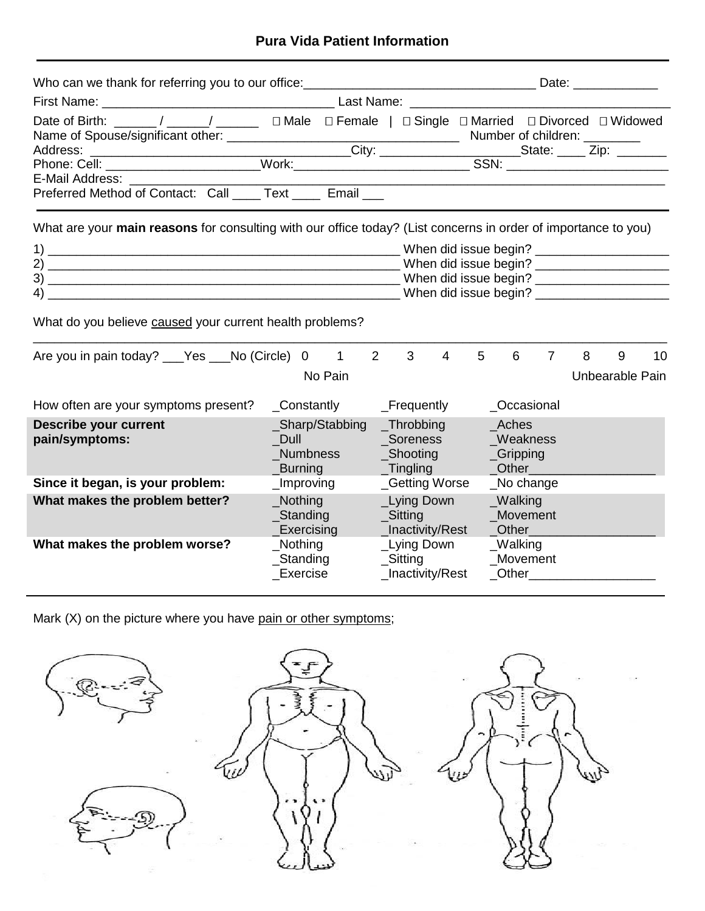# **Pura Vida Patient Information**

| Date of Birth: _____/ ____/ ______ □ Male □ Female   □ Single □ Married □ Divorced □ Widowed                   |                       |          |  |                              |                      |                        |                 |    |
|----------------------------------------------------------------------------------------------------------------|-----------------------|----------|--|------------------------------|----------------------|------------------------|-----------------|----|
|                                                                                                                |                       |          |  |                              |                      |                        |                 |    |
|                                                                                                                |                       |          |  |                              |                      |                        |                 |    |
| E-Mail Address: ___________                                                                                    |                       |          |  |                              |                      |                        |                 |    |
| Preferred Method of Contact: Call ____ Text ____ Email ___                                                     |                       |          |  |                              |                      |                        |                 |    |
| What are your main reasons for consulting with our office today? (List concerns in order of importance to you) |                       |          |  |                              |                      |                        |                 |    |
|                                                                                                                |                       |          |  |                              |                      |                        |                 |    |
|                                                                                                                |                       |          |  |                              |                      |                        |                 |    |
|                                                                                                                |                       |          |  |                              |                      |                        |                 |    |
|                                                                                                                |                       |          |  |                              |                      |                        |                 |    |
| What do you believe caused your current health problems?                                                       |                       |          |  |                              |                      |                        |                 |    |
| Are you in pain today? ___ Yes ___ No (Circle) 0 1 2 3                                                         |                       |          |  |                              |                      | 4 5 6 7                | 8<br>9          | 10 |
|                                                                                                                |                       | No Pain  |  |                              |                      |                        | Unbearable Pain |    |
| How often are your symptoms present?                                                                           |                       |          |  |                              |                      | Occasional             |                 |    |
| <b>Describe your current</b>                                                                                   |                       |          |  | _Sharp/Stabbing _Throbbing   | Aches                |                        |                 |    |
| pain/symptoms:                                                                                                 |                       |          |  | _Dull ______________Soreness | Weakness             |                        |                 |    |
|                                                                                                                |                       | Numbness |  | _Shooting                    | $C$ ripping          |                        |                 |    |
|                                                                                                                |                       |          |  | _Burning _________Tingling   | Other                |                        |                 |    |
| Since it began, is your problem:                                                                               | _Improving            |          |  | _Getting Worse               |                      | _No change             |                 |    |
| What makes the problem better?                                                                                 | Nothing Land          |          |  | _Lying Down                  | $_W$ alking          |                        |                 |    |
|                                                                                                                | _Standing             |          |  | Sitting                      | Movement             |                        |                 |    |
|                                                                                                                | _Exercising           |          |  | _Inactivity/Rest             |                      | Other                  |                 |    |
| What makes the problem worse?                                                                                  | _Nothing<br>_Standing |          |  | _Lying Down<br>_Sitting      | _Walking<br>Movement |                        |                 |    |
|                                                                                                                | Exercise              |          |  | _Inactivity/Rest             |                      | <b>Other Community</b> |                 |    |
|                                                                                                                |                       |          |  |                              |                      |                        |                 |    |

Mark (X) on the picture where you have pain or other symptoms;

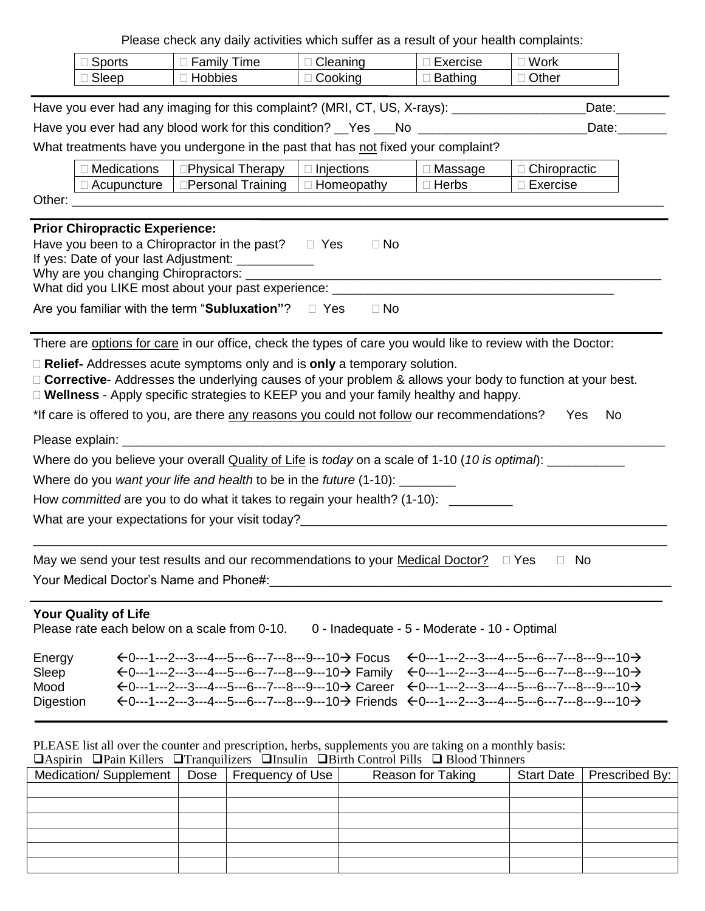Please check any daily activities which suffer as a result of your health complaints:

|                                                                                                                                                                                                                                                                                                                                                                                                                                                                                                                                   |                                                                                                               | Please crieck any daily activities which suiter as a result of your nealth complaints.                                                                                                                                                                                                                         |                                              |                 |                                                                                                                                                                                                                                                                                           |  |  |
|-----------------------------------------------------------------------------------------------------------------------------------------------------------------------------------------------------------------------------------------------------------------------------------------------------------------------------------------------------------------------------------------------------------------------------------------------------------------------------------------------------------------------------------|---------------------------------------------------------------------------------------------------------------|----------------------------------------------------------------------------------------------------------------------------------------------------------------------------------------------------------------------------------------------------------------------------------------------------------------|----------------------------------------------|-----------------|-------------------------------------------------------------------------------------------------------------------------------------------------------------------------------------------------------------------------------------------------------------------------------------------|--|--|
| Sports                                                                                                                                                                                                                                                                                                                                                                                                                                                                                                                            |                                                                                                               | □ Family Time                                                                                                                                                                                                                                                                                                  | $\Box$ Cleaning                              | $\Box$ Exercise | $\square$ Work                                                                                                                                                                                                                                                                            |  |  |
| Sleep                                                                                                                                                                                                                                                                                                                                                                                                                                                                                                                             |                                                                                                               | □ Hobbies                                                                                                                                                                                                                                                                                                      | $\Box$ Cooking                               | <b>Bathing</b>  | □ Other                                                                                                                                                                                                                                                                                   |  |  |
|                                                                                                                                                                                                                                                                                                                                                                                                                                                                                                                                   | Have you ever had any imaging for this complaint? (MRI, CT, US, X-rays): ___________________________<br>Date: |                                                                                                                                                                                                                                                                                                                |                                              |                 |                                                                                                                                                                                                                                                                                           |  |  |
|                                                                                                                                                                                                                                                                                                                                                                                                                                                                                                                                   |                                                                                                               | Have you ever had any blood work for this condition? Thes TRIM COMMON CONDUCTION CONSERVATION And Have Model C                                                                                                                                                                                                 |                                              |                 | $\sqrt{$ Date: $\sqrt{ }$                                                                                                                                                                                                                                                                 |  |  |
|                                                                                                                                                                                                                                                                                                                                                                                                                                                                                                                                   |                                                                                                               | What treatments have you undergone in the past that has not fixed your complaint?                                                                                                                                                                                                                              |                                              |                 |                                                                                                                                                                                                                                                                                           |  |  |
|                                                                                                                                                                                                                                                                                                                                                                                                                                                                                                                                   | <b>Medications</b>                                                                                            | □Physical Therapy                                                                                                                                                                                                                                                                                              | $\Box$ Injections                            | Massage         | $\Box$ Chiropractic                                                                                                                                                                                                                                                                       |  |  |
|                                                                                                                                                                                                                                                                                                                                                                                                                                                                                                                                   | $\Box$ Acupuncture                                                                                            | □Personal Training                                                                                                                                                                                                                                                                                             | $\Box$ Homeopathy                            | $\Box$ Herbs    | $\Box$ Exercise                                                                                                                                                                                                                                                                           |  |  |
|                                                                                                                                                                                                                                                                                                                                                                                                                                                                                                                                   |                                                                                                               |                                                                                                                                                                                                                                                                                                                |                                              |                 |                                                                                                                                                                                                                                                                                           |  |  |
| <b>Prior Chiropractic Experience:</b>                                                                                                                                                                                                                                                                                                                                                                                                                                                                                             |                                                                                                               | Have you been to a Chiropractor in the past? $\Box$ Yes<br>If yes: Date of your last Adjustment: ____________<br>Why are you changing Chiropractors: _________<br>What did you LIKE most about your past experience: _____________________________<br>Are you familiar with the term "Subluxation"? $\Box$ Yes | $\Box$ No<br>$\Box$ No                       |                 |                                                                                                                                                                                                                                                                                           |  |  |
| There are options for care in our office, check the types of care you would like to review with the Doctor:<br>$\Box$ Relief- Addresses acute symptoms only and is only a temporary solution.<br>$\Box$ Corrective- Addresses the underlying causes of your problem & allows your body to function at your best.<br>$\Box$ Wellness - Apply specific strategies to KEEP you and your family healthy and happy.<br>*If care is offered to you, are there any reasons you could not follow our recommendations?<br><b>No</b><br>Yes |                                                                                                               |                                                                                                                                                                                                                                                                                                                |                                              |                 |                                                                                                                                                                                                                                                                                           |  |  |
|                                                                                                                                                                                                                                                                                                                                                                                                                                                                                                                                   |                                                                                                               | Where do you believe your overall Quality of Life is today on a scale of 1-10 (10 is optimal): __________                                                                                                                                                                                                      |                                              |                 |                                                                                                                                                                                                                                                                                           |  |  |
|                                                                                                                                                                                                                                                                                                                                                                                                                                                                                                                                   |                                                                                                               | Where do you want your life and health to be in the future (1-10): ________                                                                                                                                                                                                                                    |                                              |                 |                                                                                                                                                                                                                                                                                           |  |  |
|                                                                                                                                                                                                                                                                                                                                                                                                                                                                                                                                   |                                                                                                               | How committed are you to do what it takes to regain your health? (1-10): ________                                                                                                                                                                                                                              |                                              |                 |                                                                                                                                                                                                                                                                                           |  |  |
|                                                                                                                                                                                                                                                                                                                                                                                                                                                                                                                                   |                                                                                                               |                                                                                                                                                                                                                                                                                                                |                                              |                 |                                                                                                                                                                                                                                                                                           |  |  |
| May we send your test results and our recommendations to your Medical Doctor?<br>I Yes<br>No<br>Your Medical Doctor's Name and Phone#:                                                                                                                                                                                                                                                                                                                                                                                            |                                                                                                               |                                                                                                                                                                                                                                                                                                                |                                              |                 |                                                                                                                                                                                                                                                                                           |  |  |
| Your Quality of Life                                                                                                                                                                                                                                                                                                                                                                                                                                                                                                              |                                                                                                               | Please rate each below on a scale from 0-10.                                                                                                                                                                                                                                                                   | 0 - Inadequate - 5 - Moderate - 10 - Optimal |                 |                                                                                                                                                                                                                                                                                           |  |  |
| Energy<br>Sleep<br>Mood<br>Digestion                                                                                                                                                                                                                                                                                                                                                                                                                                                                                              |                                                                                                               | $\leftarrow$ 0---1---2---3---4---5---6---7---8---9---10→ Focus<br>$\leftarrow$ 0---1---2---3---4---5---6---7---8---9---10→ Family<br>$-0$ ---1---2---3---4---5---6---7---8---9---10 $\rightarrow$ Career                                                                                                       |                                              |                 | $-0$ ---1---2---3---4---5---6---7---8---9---10-><br>$\leftarrow$ 0---1---2---3---4---5---6---7---8---9---10-><br>$\leftarrow$ 0---1---2---3---4---5---6---7---8---9---10-><br>$\xi$ 0---1---2---3---4---5---6---7---8---9---10→ Friends $\xi$ 0---1---2---3---4---5---6---7---8---9---10→ |  |  |

PLEASE list all over the counter and prescription, herbs, supplements you are taking on a monthly basis:

| $\Box$ Aspirin $\Box$ Pain Killers $\Box$ Tranquilizers $\Box$ Insulin $\Box$ Birth Control Pills $\Box$ Blood Thinners |  |  |                   |  |                             |  |
|-------------------------------------------------------------------------------------------------------------------------|--|--|-------------------|--|-----------------------------|--|
| Medication/Supplement   Dose   Frequency of Use                                                                         |  |  | Reason for Taking |  | Start Date   Prescribed By: |  |
|                                                                                                                         |  |  |                   |  |                             |  |
|                                                                                                                         |  |  |                   |  |                             |  |
|                                                                                                                         |  |  |                   |  |                             |  |
|                                                                                                                         |  |  |                   |  |                             |  |
|                                                                                                                         |  |  |                   |  |                             |  |
|                                                                                                                         |  |  |                   |  |                             |  |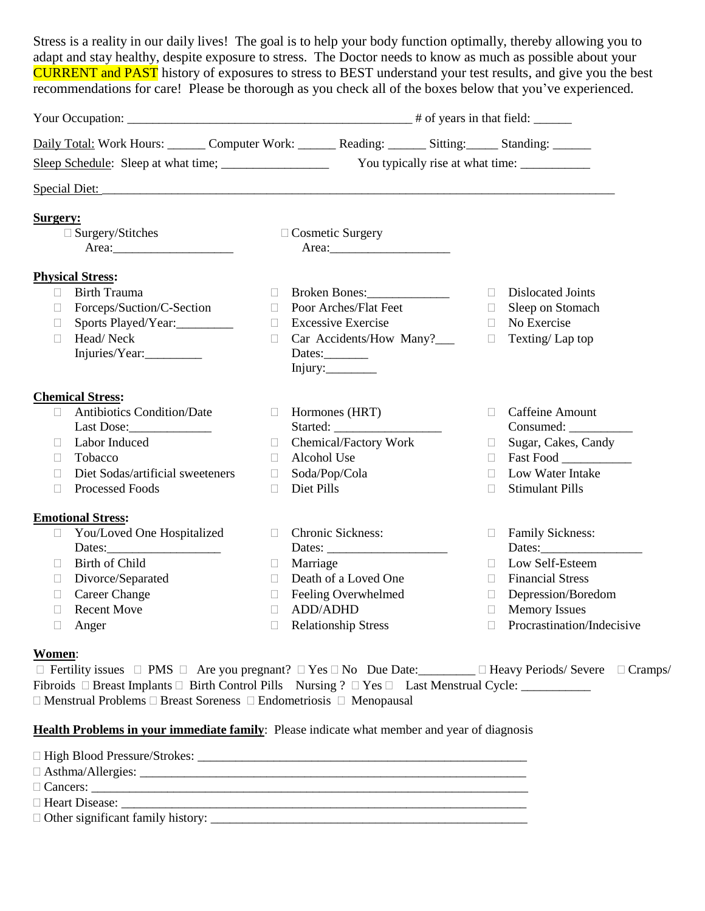Stress is a reality in our daily lives! The goal is to help your body function optimally, thereby allowing you to adapt and stay healthy, despite exposure to stress. The Doctor needs to know as much as possible about your CURRENT and PAST history of exposures to stress to BEST understand your test results, and give you the best recommendations for care! Please be thorough as you check all of the boxes below that you've experienced.

| Daily Total: Work Hours: Computer Work: Reading: _______ Sitting: ______ Standing: ______ |                |                            |                |                            |  |  |
|-------------------------------------------------------------------------------------------|----------------|----------------------------|----------------|----------------------------|--|--|
|                                                                                           |                |                            |                |                            |  |  |
|                                                                                           |                |                            |                |                            |  |  |
| <b>Surgery:</b>                                                                           |                |                            |                |                            |  |  |
| $\square$ Surgery/Stitches                                                                |                | $\Box$ Cosmetic Surgery    |                |                            |  |  |
|                                                                                           |                |                            |                |                            |  |  |
| <b>Physical Stress:</b>                                                                   |                |                            |                |                            |  |  |
| <b>Birth Trauma</b><br>П.                                                                 | $\Box$         |                            | $\Box$         | <b>Dislocated Joints</b>   |  |  |
| Forceps/Suction/C-Section<br>$\Box$                                                       | $\mathbb{R}^n$ | Poor Arches/Flat Feet      | $\mathbb{R}^n$ | Sleep on Stomach           |  |  |
| Sports Played/Year:<br>$\Box$                                                             | $\Box$         | <b>Excessive Exercise</b>  | $\mathbb{R}^n$ | No Exercise                |  |  |
| Head/Neck<br>$\Box$                                                                       | $\Box$         | Car Accidents/How Many?___ | $\Box$         | Texting/Lap top            |  |  |
| Injuries/Year:                                                                            |                | Dates:                     |                |                            |  |  |
|                                                                                           |                |                            |                |                            |  |  |
| <b>Chemical Stress:</b>                                                                   |                |                            |                |                            |  |  |
| <b>Antibiotics Condition/Date</b><br>$\Box$                                               | $\Box$         | Hormones (HRT)             | $\Box$         | <b>Caffeine Amount</b>     |  |  |
|                                                                                           |                |                            |                |                            |  |  |
| Labor Induced<br>$\Box$                                                                   | П.             | Chemical/Factory Work      | $\Box$         | Sugar, Cakes, Candy        |  |  |
| Tobacco<br>$\Box$                                                                         | П.             | Alcohol Use                | $\Box$         | Fast Food                  |  |  |
| Diet Sodas/artificial sweeteners<br>$\Box$                                                | $\Box$         | Soda/Pop/Cola              | П.             | Low Water Intake           |  |  |
| <b>Processed Foods</b><br>П                                                               | П              | Diet Pills                 | $\mathbb{R}^n$ | <b>Stimulant Pills</b>     |  |  |
| <b>Emotional Stress:</b>                                                                  |                |                            |                |                            |  |  |
| You/Loved One Hospitalized<br>$\mathcal{L}_{\mathcal{A}}$                                 | $\Box$         | Chronic Sickness:          | $\Box$         | <b>Family Sickness:</b>    |  |  |
|                                                                                           |                |                            |                |                            |  |  |
| Birth of Child<br>$\Box$                                                                  | $\Box$         | Marriage                   | П.             | Low Self-Esteem            |  |  |
| Divorce/Separated<br>$\Box$                                                               | $\Box$         | Death of a Loved One       | П.             | <b>Financial Stress</b>    |  |  |
| <b>Career Change</b><br>$\Box$                                                            | $\Box$         | Feeling Overwhelmed        | $\Box$         | Depression/Boredom         |  |  |
| <b>Recent Move</b><br>$\Box$                                                              | $\Box$         | <b>ADD/ADHD</b>            | $\Box$         | <b>Memory Issues</b>       |  |  |
| $\Box$<br>Anger                                                                           | $\Box$         | <b>Relationship Stress</b> | П              | Procrastination/Indecisive |  |  |
| $W_{\alpha m \alpha m}$                                                                   |                |                            |                |                            |  |  |

#### **Women**:

 $\Box$  Fertility issues  $\Box$  PMS  $\Box$  Are you pregnant?  $\Box$  Yes  $\Box$  No Due Date:  $\Box$   $\Box$  Heavy Periods/ Severe  $\Box$  Cramps/ Fibroids Breast Implants Birth Control Pills Nursing ? Yes Last Menstrual Cycle: \_\_\_\_\_\_\_\_\_\_\_  $\Box$  Menstrual Problems  $\Box$  Breast Soreness  $\Box$  Endometriosis  $\Box$  Menopausal

### **Health Problems in your immediate family**: Please indicate what member and year of diagnosis

| $\Box$ Heart Disease: |
|-----------------------|
|                       |
|                       |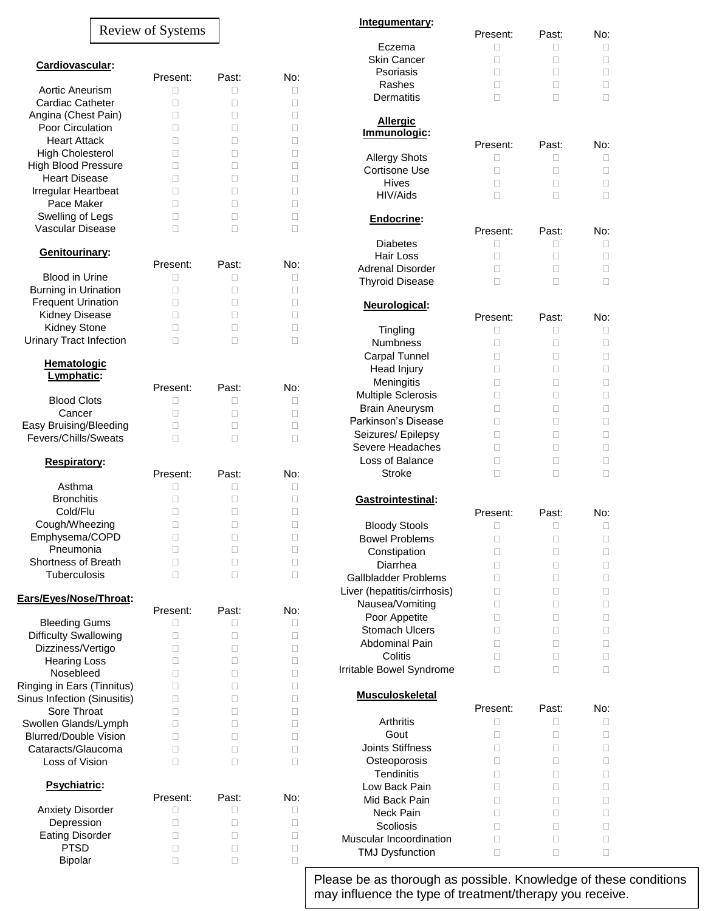|                                                                                                                                                                                                                                                                                           | <b>Review of Systems</b>                                             |                                                                   |                                                                  |
|-------------------------------------------------------------------------------------------------------------------------------------------------------------------------------------------------------------------------------------------------------------------------------------------|----------------------------------------------------------------------|-------------------------------------------------------------------|------------------------------------------------------------------|
| Cardiovascular:                                                                                                                                                                                                                                                                           |                                                                      |                                                                   |                                                                  |
| Aortic Aneurism<br><b>Cardiac Catheter</b><br>Angina (Chest Pain)<br><b>Poor Circulation</b><br><b>Heart Attack</b><br><b>High Cholesterol</b><br><b>High Blood Pressure</b><br>Heart Disease<br>Irregular Heartbeat<br>Pace Maker<br>Swelling of Legs<br><b>Vascular Disease</b>         | Present:<br>П<br>П<br>П<br>П<br>П<br>П<br>П<br>П<br>П<br>П<br>П<br>П | Past:<br>п<br>П<br>П<br>П<br>П<br>П<br>П<br>П<br>П<br>П<br>П<br>П | No:<br>П<br>П<br>П<br>□<br>П<br>П<br>П<br>П<br>П                 |
| Genitourinary:                                                                                                                                                                                                                                                                            |                                                                      |                                                                   |                                                                  |
| Blood in Urine<br>Burning in Urination<br><b>Frequent Urination</b><br>Kidney Disease<br><b>Kidney Stone</b><br><b>Urinary Tract Infection</b>                                                                                                                                            | Present:<br>П<br>П<br>П<br>П<br>П                                    | Past:<br>П<br>П<br>П<br>П<br>П<br>П                               | No:<br>ш<br>П<br>п<br>П<br>П                                     |
| Hematologic<br>Lymphatic:                                                                                                                                                                                                                                                                 |                                                                      |                                                                   |                                                                  |
| <b>Blood Clots</b><br>Cancer<br>Easy Bruising/Bleeding<br>Fevers/Chills/Sweats                                                                                                                                                                                                            | Present:<br>П<br>П<br>П<br>П                                         | Past:<br>□<br>П<br>П<br>П                                         | No:<br>П<br>Ш<br>П<br>п                                          |
| Respiratory:                                                                                                                                                                                                                                                                              |                                                                      |                                                                   |                                                                  |
| Asthma<br><b>Bronchitis</b><br>Cold/Flu<br>Cough/Wheezing<br>Emphysema/COPD<br>Pneumonia<br>Shortness of Breath<br>Tuberculosis                                                                                                                                                           | Present:<br>П<br>П<br>П<br>П<br>о<br>П<br>П<br>П                     | Past:<br>П<br>Ш<br>П<br>П<br>□<br>□<br>□<br>П                     | No:<br>Ш<br>П<br>□<br>□<br>П<br>П                                |
| Ears/Eyes/Nose/Throat:                                                                                                                                                                                                                                                                    |                                                                      |                                                                   |                                                                  |
| <b>Bleeding Gums</b><br><b>Difficulty Swallowing</b><br>Dizziness/Vertigo<br><b>Hearing Loss</b><br>Nosebleed<br>Ringing in Ears (Tinnitus)<br>Sinus Infection (Sinusitis)<br>Sore Throat<br>Swollen Glands/Lymph<br><b>Blurred/Double Vision</b><br>Cataracts/Glaucoma<br>Loss of Vision | Present:<br>П<br>П<br>П<br>П<br>П<br>П<br>П<br>П<br>П<br>П<br>П<br>П | Past:<br>П<br>□<br>П<br>П<br>П<br>□<br>□<br>□<br>П<br>П<br>□<br>П | No:<br>H<br>O.<br>П<br>П<br>□<br>Ш<br>□<br>□<br>Ш<br>П<br>□<br>П |
| Psychiatric:                                                                                                                                                                                                                                                                              | Present:                                                             | Past:                                                             | No:                                                              |
| <b>Anxiety Disorder</b><br>Depression<br><b>Eating Disorder</b><br><b>PTSD</b><br>Bipolar                                                                                                                                                                                                 | П<br>П<br>П<br>П<br>П                                                | П<br>□<br>□<br>□<br>□                                             | Ш<br>П<br>П<br>П                                                 |

No:<br>D

No:

No:

| <u>Integumentary:</u>            |               |            |                     |
|----------------------------------|---------------|------------|---------------------|
| Eczema                           | Present:<br>П | Past:<br>п | No:<br>$\mathbf{L}$ |
| <b>Skin Cancer</b>               | П             | П          | Ш                   |
| Psoriasis                        | п             | п          | П                   |
| Rashes                           | п             | П          | П                   |
| <b>Dermatitis</b>                | П             | П          | П                   |
| <b>Allergic</b>                  |               |            |                     |
| Immunologic:                     | Present:      | Past:      | No:                 |
| <b>Allergy Shots</b>             | п             | П          | П                   |
| Cortisone Use                    | П             | П          | П                   |
| <b>Hives</b>                     | п             | п          | П                   |
| HIV/Aids                         | П             | П          | П                   |
| Endocrine:                       |               |            |                     |
| Diabetes                         | Present:<br>□ | Past:<br>П | No:<br>П            |
| Hair Loss                        | П             | П          | П                   |
| <b>Adrenal Disorder</b>          | П             | П          | П                   |
| <b>Thyroid Disease</b>           | П             | П          | П                   |
|                                  |               |            |                     |
| Neurological:                    | Present:      | Past:      | No:                 |
| Tingling                         | П             | П          | П                   |
| Numbness                         | П             | П          | П                   |
| Carpal Tunnel                    | П             | П          |                     |
| Head Injury                      | П             | П          |                     |
| Meningitis                       | П             | П          | П                   |
| Multiple Sclerosis               | П             | П          | П                   |
| <b>Brain Aneurysm</b>            | П             | П          | П                   |
| Parkinson's Disease              | П             | П          | П                   |
| Seizures/ Epilepsy               | П             | П          | П                   |
| Severe Headaches                 | П             | П          | П                   |
| Loss of Balance<br><b>Stroke</b> | П             | П          | П                   |
|                                  | П             | П          | П                   |
| Gastrointestinal:                | Present:      | Past:      | No:                 |
| <b>Bloody Stools</b>             | П             | П          | П                   |
| <b>Bowel Problems</b>            | П             | □          | П                   |
| Constipation                     | П             | П          | П                   |
| Diarrhea                         | П             | П          | П                   |
| Gallbladder Problems             | П             | п          | Ш                   |
| Liver (hepatitis/cirrhosis)      | П             | Ш          | Ш                   |
| Nausea/Vomiting                  | П             | П          | П                   |
| Poor Appetite                    | п             | П          | П                   |
| <b>Stomach Ulcers</b>            | □             | П          | П                   |
| <b>Abdominal Pain</b>            | П             | П          | П                   |
| Colitis                          | O             | П          | П                   |
| Irritable Bowel Syndrome         | П             | П          | П                   |
| <b>Musculoskeletal</b>           |               |            |                     |
|                                  | Present:      | Past:      | No:                 |
| Arthritis                        | П             | П          | П                   |
| Gout<br><b>Joints Stiffness</b>  | П             | п          | П                   |
| Osteoporosis                     | п<br>П        | П<br>П     | П<br>П              |
| <b>Tendinitis</b>                | п             | П          | П                   |
| Low Back Pain                    | п             | П          | П                   |
| Mid Back Pain                    | П             | П          | П                   |
| <b>Neck Pain</b>                 | П             | п          | П                   |
| Scoliosis                        | Ш             | Ш          |                     |
| Muscular Incoordination          | Ш             | П          | Ш                   |
| <b>TMJ Dysfunction</b>           | □             | □          | □                   |
|                                  |               |            |                     |

Please be as thorough as possible. Knowledge of these conditions may influence the type of treatment/therapy you receive.